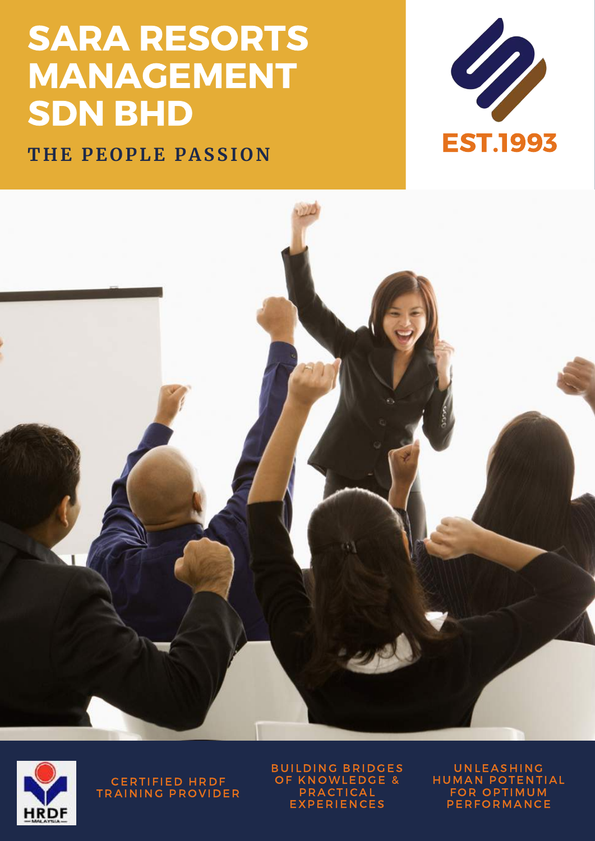## SARA RESORTS MANAGEMENT SDN BHD







CERTIFIED HRDF TRAINING PROVIDER **BUILDING BRIDGES** OF KNOWLEDGE & **PRACTICAL EXPERIENCES** 

**UNLEASHING** HUMAN POTENTIAL FOR OPTIMUM **PERFORMANCE**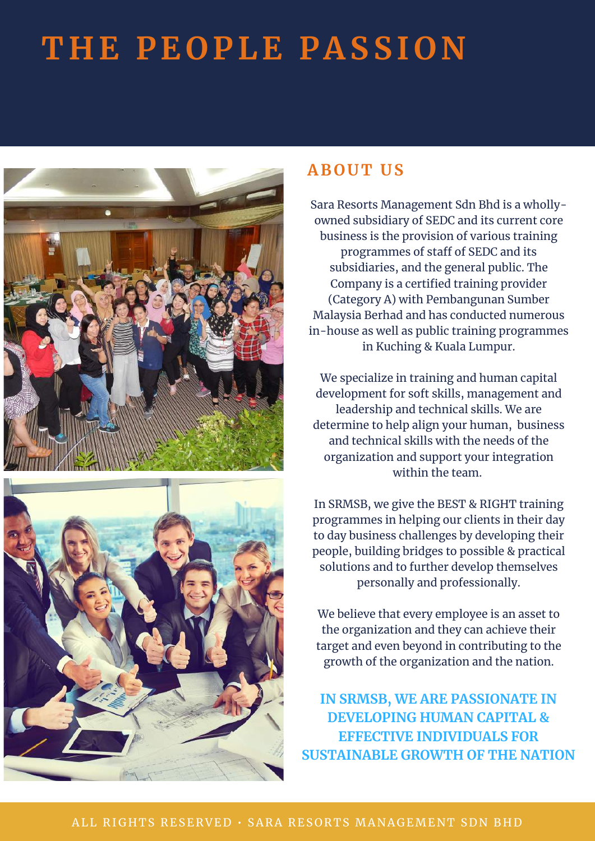

## **A B O U T U S**

Sara Resorts Management Sdn Bhd is a whollyowned subsidiary of SEDC and its current core business is the provision of various training programmes of staff of SEDC and its subsidiaries, and the general public. The Company is a certified training provider (Category A) with Pembangunan Sumber Malaysia Berhad and has conducted numerous in-house as well as public training programmes in Kuching & Kuala Lumpur.

We specialize in training and human capital development for soft skills, management and leadership and technical skills. We are determine to help align your human, business and technical skills with the needs of the organization and support your integration within the team.

In SRMSB, we give the BEST & RIGHT training programmes in helping our clients in their day to day business challenges by developing their people, building bridges to possible & practical solutions and to further develop themselves personally and professionally.

We believe that every employee is an asset to the organization and they can achieve their target and even beyond in contributing to the growth of the organization and the nation.

**IN SRMSB, WE ARE PASSIONATE IN DEVELOPING HUMAN CAPITAL & EFFECTIVE INDIVIDUALS FOR SUSTAINABLE GROWTH OF THE NATION**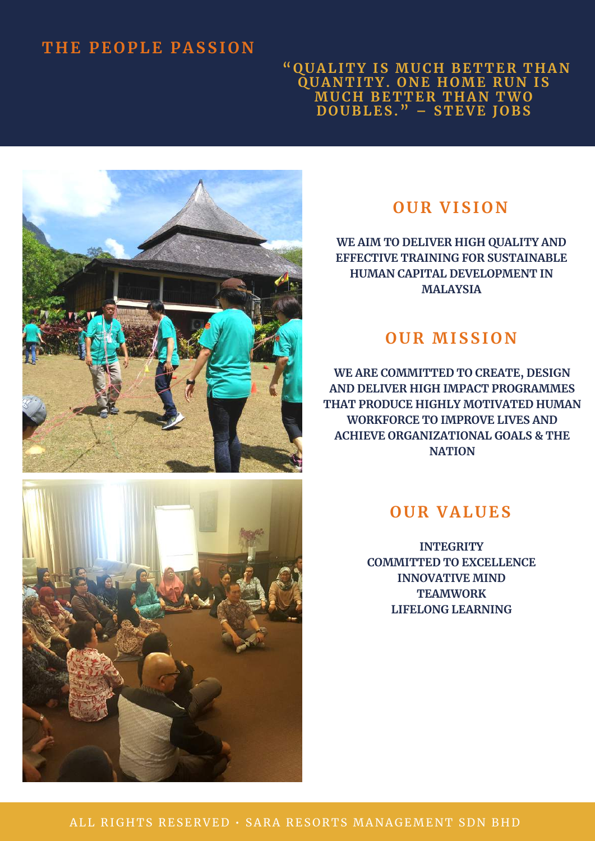**" Q U A LI T Y IS MU C H B E T T E R T H A N Q U A N T I T Y. O N E H OME R U N IS MU C H B E T T E R T H A N TWO DO U B LES." – S T EVE J O B S**



## **O U R VISI O N**

**WE AIM TO DELIVER HIGH QUALITY AND EFFECTIVE TRAINING FOR SUSTAINABLE HUMAN CAPITAL DEVELOPMENT IN MALAYSIA**

### **O U R MISSI O N**

**WE ARE COMMITTED TO CREATE, DESIGN AND DELIVER HIGH IMPACT PROGRAMMES THAT PRODUCE HIGHLY MOTIVATED HUMAN WORKFORCE TO IMPROVE LIVES AND ACHIEVE ORGANIZATIONAL GOALS & THE NATION**



**INTEGRITY COMMITTED TO EXCELLENCE INNOVATIVE MIND TEAMWORK LIFELONG LEARNING**

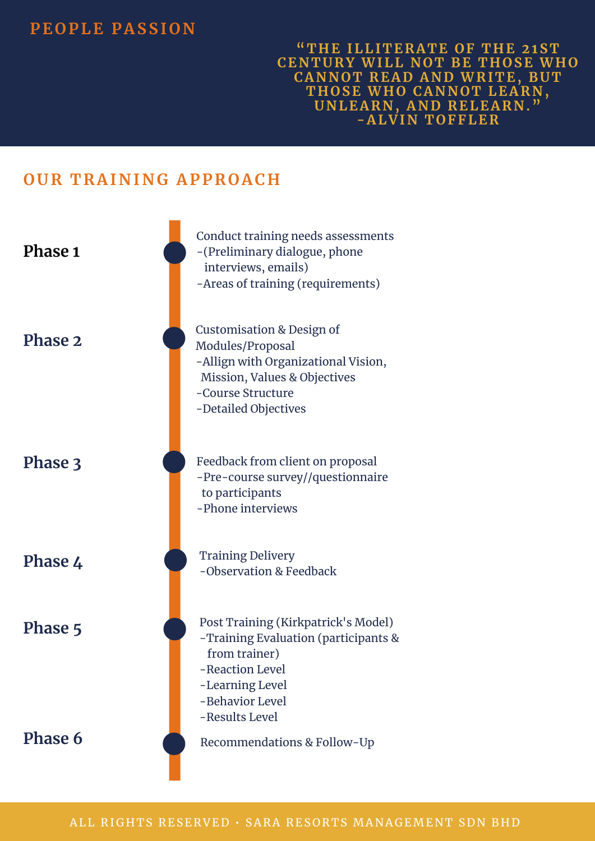## **PE O PLE P A SSI O N**

**" T H E ILLI T E R A T E O F T H E 21S T CE N T U R Y WILL N O T B E T H O SE WH O C A N N O T R E AD A N D WR I T E, B U T T H O SE WH O C A N N O T LE A R N , U N LE A R N , A N D R ELE A R N ." - A LVI N T O FFLE R**

## **O U R T R A I N I N G A PP R O A C H**

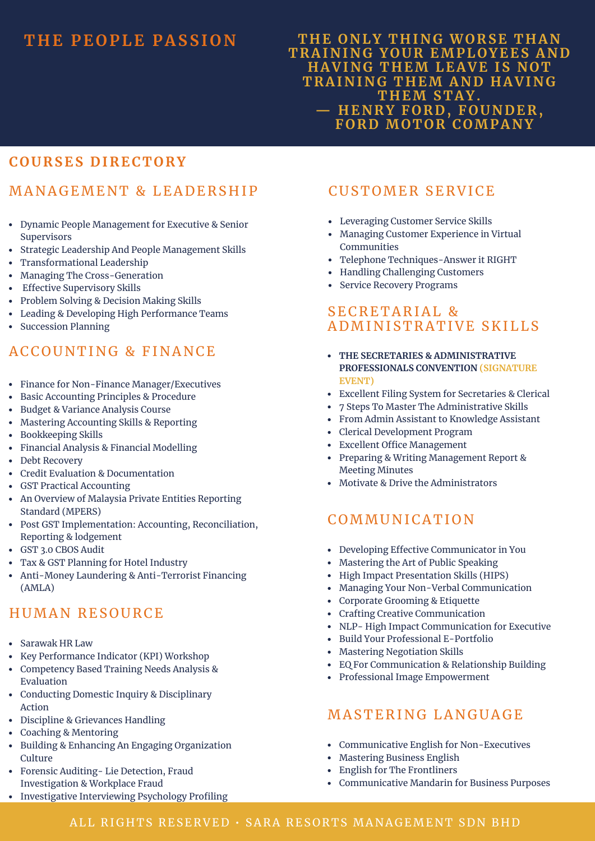#### **T H E O N LY T H I N G WO R SE T H A N T R A I N I N G Y O U R EMPL O YEES A N D H A VI N G T H EM LE A VE IS N O T T R A I N I N G T H EM A N D H A VI N G T H EM S T A Y. — H E N R Y F O RD, F O U N DE R , F O RD MO T O R C OMP A N Y**

### **C O U R SES DI R EC T O R Y**

### MANAGEMENT & LEADERSHIP

- Dynamic People Management for Executive & Senior Supervisors
- Strategic Leadership And People Management Skills
- Transformational Leadership
- Managing The Cross-Generation
- Effective Supervisory Skills
- Problem Solving & Decision Making Skills
- Leading & Developing High Performance Teams
- Succession Planning

## ACCOUNTING & FINANCE

- Finance for Non-Finance Manager/Executives
- Basic Accounting Principles & Procedure
- Budget & Variance Analysis Course
- Mastering Accounting Skills & Reporting
- Bookkeeping Skills
- Financial Analysis & Financial Modelling
- Debt Recovery
- Credit Evaluation & Documentation
- GST Practical Accounting
- An Overview of Malaysia Private Entities Reporting Standard (MPERS)
- Post GST Implementation: Accounting, Reconciliation, Reporting & lodgement
- GST 3.0 CBOS Audit
- Tax & GST Planning for Hotel Industry
- Anti-Money Laundering & Anti-Terrorist Financing (AMLA)

### HUMAN RESOURCE

- Sarawak HR Law
- Key Performance Indicator (KPI) Workshop
- Competency Based Training Needs Analysis & Evaluation
- Conducting Domestic Inquiry & Disciplinary Action
- Discipline & Grievances Handling
- Coaching & Mentoring
- Building & Enhancing An Engaging Organization Culture
- Forensic Auditing- Lie Detection, Fraud Investigation & Workplace Fraud
- Investigative Interviewing Psychology Profiling

### **CUSTOMER SERVICE**

- Leveraging Customer Service Skills
- Managing Customer Experience in Virtual Communities
- Telephone Techniques-Answer it RIGHT
- Handling Challenging Customers
- Service Recovery Programs

#### SECRETARIAL & ADMINI ST R ATIVE S K ILLS

- **THE SECRETARIES & ADMINISTRATIVE PROFESSIONALS CONVENTION (SIGNATURE EVENT)**
- Excellent Filing System for Secretaries & Clerical
- 7 Steps To Master The Administrative Skills
- From Admin Assistant to Knowledge Assistant
- Clerical Development Program
- Excellent Office Management
- Preparing & Writing Management Report & Meeting Minutes
- Motivate & Drive the Administrators

### **COMMUNICATION**

- Developing Effective Communicator in You
- Mastering the Art of Public Speaking
- High Impact Presentation Skills (HIPS)
- Managing Your Non-Verbal Communication
- Corporate Grooming & Etiquette
- $\bullet$ Crafting Creative Communication
- NLP- High Impact Communication for Executive
- Build Your Professional E-Portfolio
- Mastering Negotiation Skills
- EQ For Communication & Relationship Building
- Professional Image Empowerment

#### MASTERING LANGUAGE

- Communicative English for Non-Executives
- Mastering Business English
- English for The Frontliners
- Communicative Mandarin for Business Purposes

#### ALL RIGHTS RESERVED · SARA RESORTS MANAGEMENT SDN BHD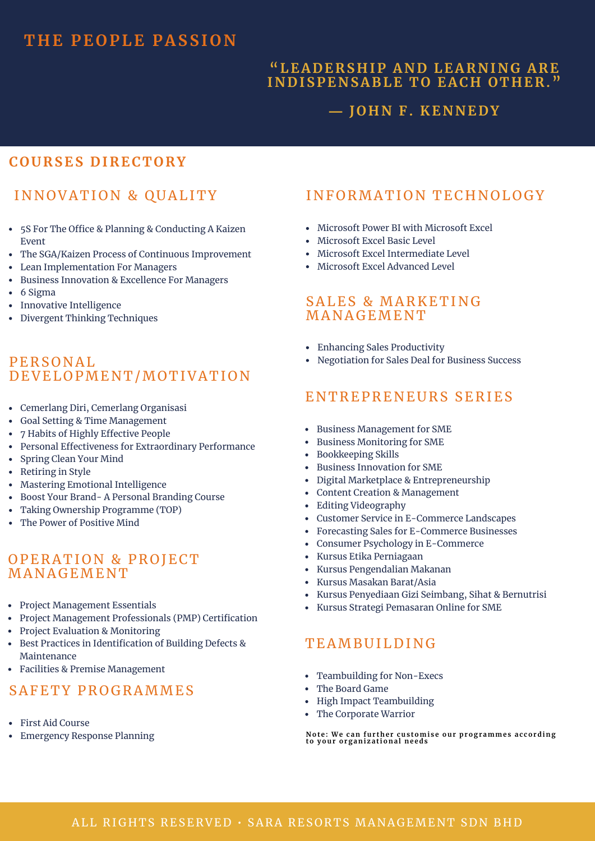#### **"LE ADE R S H IP A N D LE A R N I N G A R E I N DISPE N S A B LE T O E A C H O T H E R ."**

#### **― J O H N F. KE N N EDY**

#### **C O U R SES DI R EC T O R Y**

## INNOVATION & QUALITY

- 5S For The Office & Planning & Conducting A Kaizen Event
- The SGA/Kaizen Process of Continuous Improvement
- Lean Implementation For Managers
- Business Innovation & Excellence For Managers
- $\bullet$  6 Sigma
- Innovative Intelligence
- Divergent Thinking Techniques

#### PE R S ONAL DEVELOPMENT/MOTIVATION

- Cemerlang Diri, Cemerlang Organisasi
- Goal Setting & Time Management
- 7 Habits of Highly Effective People
- Personal Effectiveness for Extraordinary Performance
- Spring Clean Your Mind
- Retiring in Style
- Mastering Emotional Intelligence
- Boost Your Brand- A Personal Branding Course
- Taking Ownership Programme (TOP)
- The Power of Positive Mind

#### OPERATION & PROJECT **MANAGEMENT**

- Project Management Essentials
- Project Management Professionals (PMP) Certification
- Project Evaluation & Monitoring
- Best Practices in Identification of Building Defects & Maintenance
- Facilities & Premise Management

#### SAFETY PROGRAMMES

- First Aid Course
- Emergency Response Planning

### INFORMATION TECHNOLOGY

- Microsoft Power BI with Microsoft Excel
- Microsoft Excel Basic Level
- Microsoft Excel Intermediate Level
- Microsoft Excel Advanced Level

#### SALES & MARKETING **MANAGEMENT**

- Enhancing Sales Productivity
- Negotiation for Sales Deal for Business Success

### ENTREPRENEURS SERIES

- Business Management for SME
- Business Monitoring for SME
- Bookkeeping Skills
- Business Innovation for SME
- Digital Marketplace & Entrepreneurship
- Content Creation & Management
- Editing Videography
- Customer Service in E-Commerce Landscapes
- Forecasting Sales for E-Commerce Businesses
- Consumer Psychology in E-Commerce
- Kursus Etika Perniagaan  $\bullet$
- Kursus Pengendalian Makanan
- Kursus Masakan Barat/Asia
- Kursus Penyediaan Gizi Seimbang, Sihat & Bernutrisi
- Kursus Strategi Pemasaran Online for SME

#### TEAMBUILDING

- Teambuilding for Non-Execs
- $\bullet$ The Board Game
- High Impact Teambuilding
- The Corporate Warrior

Note: We can further customise our programmes according<br>to your organizational needs